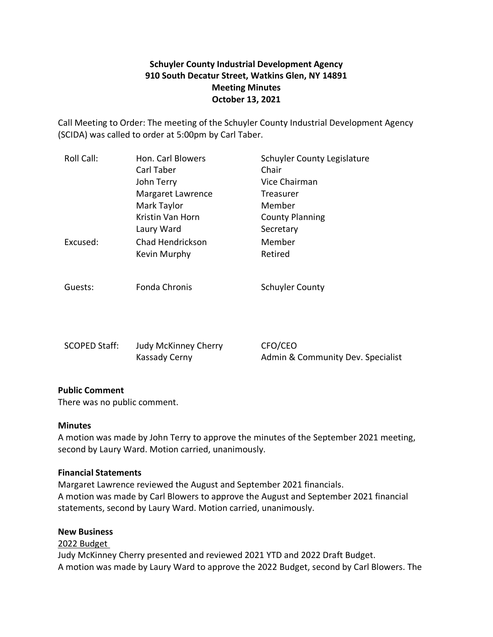## **Schuyler County Industrial Development Agency 910 South Decatur Street, Watkins Glen, NY 14891 Meeting Minutes October 13, 2021**

Call Meeting to Order: The meeting of the Schuyler County Industrial Development Agency (SCIDA) was called to order at 5:00pm by Carl Taber.

| Roll Call: | Hon. Carl Blowers        | Schuyler County Legislature<br>Chair |
|------------|--------------------------|--------------------------------------|
|            | Carl Taber<br>John Terry | Vice Chairman                        |
|            | Margaret Lawrence        | Treasurer                            |
|            | Mark Taylor              | Member                               |
|            | Kristin Van Horn         | <b>County Planning</b>               |
|            | Laury Ward               | Secretary                            |
| Excused:   | Chad Hendrickson         | Member                               |
|            | Kevin Murphy             | Retired                              |
|            |                          |                                      |
| Guests:    | Fonda Chronis            | <b>Schuyler County</b>               |

| <b>SCOPED Staff:</b> | Judy McKinney Cherry | CFO/CEO                           |
|----------------------|----------------------|-----------------------------------|
|                      | Kassady Cerny        | Admin & Community Dev. Specialist |

## **Public Comment**

There was no public comment.

## **Minutes**

A motion was made by John Terry to approve the minutes of the September 2021 meeting, second by Laury Ward. Motion carried, unanimously.

## **Financial Statements**

Margaret Lawrence reviewed the August and September 2021 financials. A motion was made by Carl Blowers to approve the August and September 2021 financial statements, second by Laury Ward. Motion carried, unanimously.

#### **New Business**

2022 Budget Judy McKinney Cherry presented and reviewed 2021 YTD and 2022 Draft Budget. A motion was made by Laury Ward to approve the 2022 Budget, second by Carl Blowers. The